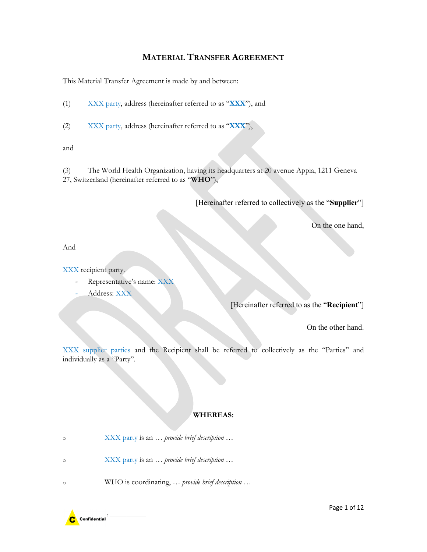# **MATERIAL TRANSFER AGREEMENT**

This Material Transfer Agreement is made by and between:

(1) XXX party, address (hereinafter referred to as "**XXX**"), and

(2) XXX party, address (hereinafter referred to as "**XXX**"),

and

(3) The World Health Organization, having its headquarters at 20 avenue Appia, 1211 Geneva 27, Switzerland (hereinafter referred to as "**WHO**"),

[Hereinafter referred to collectively as the "**Supplier**"]

On the one hand,

And

XXX recipient party.

- *-* Representative's name: XXX
- *-* Address: XXX

[Hereinafter referred to as the "**Recipient**"]

On the other hand.

XXX supplier parties and the Recipient shall be referred to collectively as the "Parties" and individually as a "Party".

### **WHEREAS:**

o XXX party is an … *provide brief description …*

o XXX party is an … *provide brief description …*

o WHO is coordinating, … *provide brief description …* 

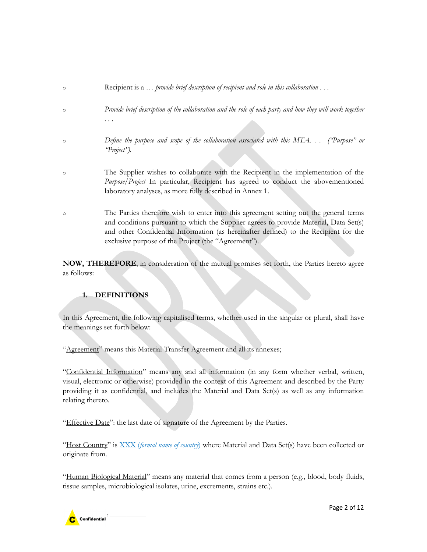| $\circ$ | Recipient is a  provide brief description of recipient and role in this collaboration                                                                                         |
|---------|-------------------------------------------------------------------------------------------------------------------------------------------------------------------------------|
| $\circ$ | Provide brief description of the collaboration and the role of each party and how they will work together                                                                     |
|         | .                                                                                                                                                                             |
| $\circ$ | Define the purpose and scope of the collaboration associated with this MTA ("Purpose" or<br>'Project'').                                                                      |
|         |                                                                                                                                                                               |
| $\circ$ | The Supplier wishes to collaborate with the Recipient in the implementation of the<br>Purpose/Project In particular, Recipient has agreed to conduct the abovementioned       |
|         | laboratory analyses, as more fully described in Annex 1.                                                                                                                      |
| $\circ$ | The Parties therefore wish to enter into this agreement setting out the general terms                                                                                         |
|         | and conditions pursuant to which the Supplier agrees to provide Material, Data Set(s)<br>and other Confidential Information (as hereinafter defined) to the Recipient for the |
|         | exclusive purpose of the Project (the "Agreement").                                                                                                                           |
|         |                                                                                                                                                                               |

**NOW, THEREFORE**, in consideration of the mutual promises set forth, the Parties hereto agree as follows:

## **1. DEFINITIONS**

In this Agreement, the following capitalised terms, whether used in the singular or plural, shall have the meanings set forth below:

"Agreement" means this Material Transfer Agreement and all its annexes;

"Confidential Information" means any and all information (in any form whether verbal, written, visual, electronic or otherwise) provided in the context of this Agreement and described by the Party providing it as confidential, and includes the Material and Data Set(s) as well as any information relating thereto.

"Effective Date": the last date of signature of the Agreement by the Parties.

"Host Country" is XXX (formal name of country) where Material and Data Set(s) have been collected or originate from.

"Human Biological Material" means any material that comes from a person (e.g., blood, body fluids, tissue samples, microbiological isolates, urine, excrements, strains etc.).

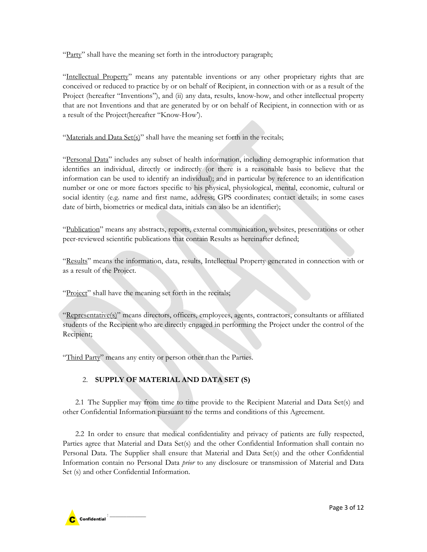"Party" shall have the meaning set forth in the introductory paragraph;

"Intellectual Property" means any patentable inventions or any other proprietary rights that are conceived or reduced to practice by or on behalf of Recipient, in connection with or as a result of the Project (hereafter "Inventions"), and (ii) any data, results, know-how, and other intellectual property that are not Inventions and that are generated by or on behalf of Recipient, in connection with or as a result of the Project(hereafter "Know-How').

"Materials and Data Set(s)" shall have the meaning set forth in the recitals;

"Personal Data" includes any subset of health information, including demographic information that identifies an individual, directly or indirectly (or there is a reasonable basis to believe that the information can be used to identify an individual); and in particular by reference to an identification number or one or more factors specific to his physical, physiological, mental, economic, cultural or social identity (e.g. name and first name, address; GPS coordinates; contact details; in some cases date of birth, biometrics or medical data, initials can also be an identifier);

"Publication" means any abstracts, reports, external communication, websites, presentations or other peer-reviewed scientific publications that contain Results as hereinafter defined;

"Results" means the information, data, results, Intellectual Property generated in connection with or as a result of the Project.

"Project" shall have the meaning set forth in the recitals;

"Representative(s)" means directors, officers, employees, agents, contractors, consultants or affiliated students of the Recipient who are directly engaged in performing the Project under the control of the Recipient;

"Third Party" means any entity or person other than the Parties.

## 2. **SUPPLY OF MATERIAL AND DATA SET (S)**

2.1 The Supplier may from time to time provide to the Recipient Material and Data Set(s) and other Confidential Information pursuant to the terms and conditions of this Agreement.

2.2 In order to ensure that medical confidentiality and privacy of patients are fully respected, Parties agree that Material and Data Set(s) and the other Confidential Information shall contain no Personal Data. The Supplier shall ensure that Material and Data Set(s) and the other Confidential Information contain no Personal Data *prior* to any disclosure or transmission of Material and Data Set (s) and other Confidential Information.

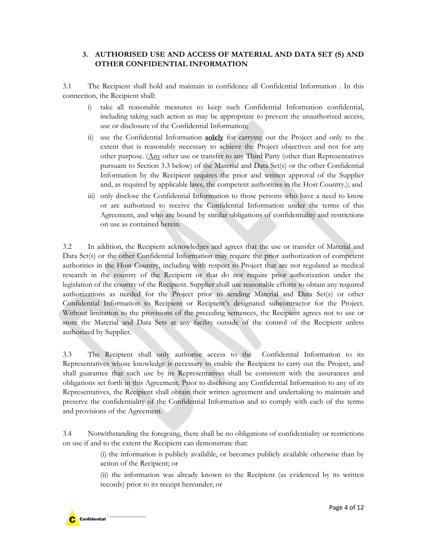### **3. AUTHORISED USE AND ACCESS OF MATERIAL AND DATA SET (S) AND OTHER CONFIDENTIAL INFORMATION**

3.1 The Recipient shall hold and maintain in confidence all Confidential Information . In this connection, the Recipient shall:

- i) take all reasonable measures to keep such Confidential Information confidential, including taking such action as may be appropriate to prevent the unauthorized access, use or disclosure of the Confidential Information;
- ii) use the Confidential Information **solely** for carrying out the Project and only to the extent that is reasonably necessary to achieve the Project objectives and not for any other purpose. (Any other use or transfer to any Third Party (other than Representatives pursuant to Section 3.3 below) of the Material and Data Set(s) or the other Confidential Information by the Recipient requires the prior and written approval of the Supplier and, as required by applicable laws, the competent authorities in the Host Country.); and
- iii) only disclose the Confidential Information to those persons who have a need to know or are authorized to receive the Confidential Information under the terms of this Agreement, and who are bound by similar obligations of confidentiality and restrictions on use as contained herein.

3.2 In addition, the Recipient acknowledges and agrees that the use or transfer of Material and Data Set(s) or the other Confidential Information may require the prior authorization of competent authorities in the Host Country, including with respect to Project that are not regulated as medical research in the country of the Recipient or that do not require prior authorization under the legislation of the country of the Recipient. Supplier shall use reasonable efforts to obtain any required authorizations as needed for the Project prior to sending Material and Data Set(s) or other Confidential Information to Recipient or Recipient's designated subcontractor for the Project. Without limitation to the provisions of the preceding sentences, the Recipient agrees not to use or store the Material and Data Sets at any facility outside of the control of the Recipient unless authorized by Supplier.

3.3 The Recipient shall only authorise access to the Confidential Information to its Representatives whose knowledge is necessary to enable the Recipient to carry out the Project, and shall guarantee that such use by its Representatives shall be consistent with the assurances and obligations set forth in this Agreement. Prior to disclosing any Confidential Information to any of its Representatives, the Recipient shall obtain their written agreement and undertaking to maintain and preserve the confidentiality of the Confidential Information and to comply with each of the terms and provisions of the Agreement.

3.4 Notwithstanding the foregoing, there shall be no obligations of confidentiality or restrictions on use if and to the extent the Recipient can demonstrate that:

> (i) the information is publicly available, or becomes publicly available otherwise than by action of the Recipient; or

> (ii) the information was already known to the Recipient (as evidenced by its written records) prior to its receipt hereunder; or

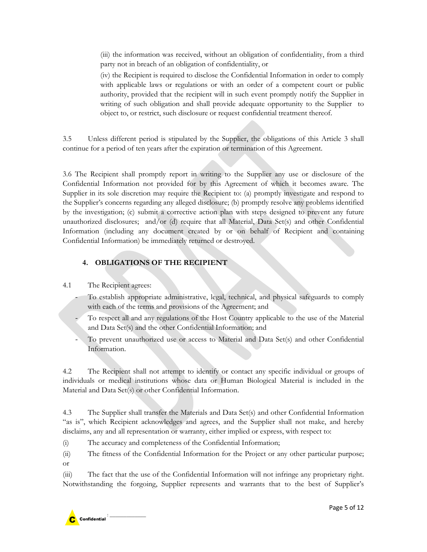(iii) the information was received, without an obligation of confidentiality, from a third party not in breach of an obligation of confidentiality, or

(iv) the Recipient is required to disclose the Confidential Information in order to comply with applicable laws or regulations or with an order of a competent court or public authority, provided that the recipient will in such event promptly notify the Supplier in writing of such obligation and shall provide adequate opportunity to the Supplier to object to, or restrict, such disclosure or request confidential treatment thereof.

3.5 Unless different period is stipulated by the Supplier, the obligations of this Article 3 shall continue for a period of ten years after the expiration or termination of this Agreement.

3.6 The Recipient shall promptly report in writing to the Supplier any use or disclosure of the Confidential Information not provided for by this Agreement of which it becomes aware. The Supplier in its sole discretion may require the Recipient to: (a) promptly investigate and respond to the Supplier's concerns regarding any alleged disclosure; (b) promptly resolve any problems identified by the investigation; (c) submit a corrective action plan with steps designed to prevent any future unauthorized disclosures; and/or (d) require that all Material, Data Set(s) and other Confidential Information (including any document created by or on behalf of Recipient and containing Confidential Information) be immediately returned or destroyed.

## **4. OBLIGATIONS OF THE RECIPIENT**

## 4.1 The Recipient agrees:

- *-* To establish appropriate administrative, legal, technical, and physical safeguards to comply with each of the terms and provisions of the Agreement; and
- *-* To respect all and any regulations of the Host Country applicable to the use of the Material and Data Set(s) and the other Confidential Information; and
- *-* To prevent unauthorized use or access to Material and Data Set(s) and other Confidential Information.

4.2 The Recipient shall not attempt to identify or contact any specific individual or groups of individuals or medical institutions whose data or Human Biological Material is included in the Material and Data Set(s) or other Confidential Information.

4.3 The Supplier shall transfer the Materials and Data Set(s) and other Confidential Information "as is", which Recipient acknowledges and agrees, and the Supplier shall not make, and hereby disclaims, any and all representation or warranty, either implied or express, with respect to:

(i) The accuracy and completeness of the Confidential Information;

(ii) The fitness of the Confidential Information for the Project or any other particular purpose; or

(iii) The fact that the use of the Confidential Information will not infringe any proprietary right. Notwithstanding the forgoing, Supplier represents and warrants that to the best of Supplier's

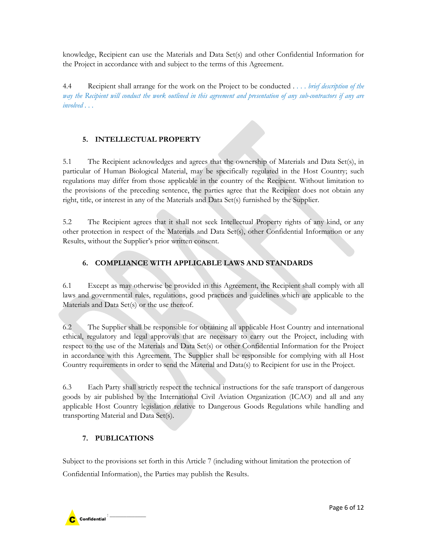knowledge, Recipient can use the Materials and Data Set(s) and other Confidential Information for the Project in accordance with and subject to the terms of this Agreement.

4.4 Recipient shall arrange for the work on the Project to be conducted . . . . *brief description of the way the Recipient will conduct the work outlined in this agreement and presentation of any sub-contractors if any are involved . . .*

## **5. INTELLECTUAL PROPERTY**

5.1 The Recipient acknowledges and agrees that the ownership of Materials and Data Set(s), in particular of Human Biological Material, may be specifically regulated in the Host Country; such regulations may differ from those applicable in the country of the Recipient. Without limitation to the provisions of the preceding sentence, the parties agree that the Recipient does not obtain any right, title, or interest in any of the Materials and Data Set(s) furnished by the Supplier.

5.2 The Recipient agrees that it shall not seek Intellectual Property rights of any kind, or any other protection in respect of the Materials and Data Set(s), other Confidential Information or any Results, without the Supplier's prior written consent.

## **6. COMPLIANCE WITH APPLICABLE LAWS AND STANDARDS**

6.1 Except as may otherwise be provided in this Agreement, the Recipient shall comply with all laws and governmental rules, regulations, good practices and guidelines which are applicable to the Materials and Data Set(s) or the use thereof.

6.2 The Supplier shall be responsible for obtaining all applicable Host Country and international ethical, regulatory and legal approvals that are necessary to carry out the Project, including with respect to the use of the Materials and Data Set(s) or other Confidential Information for the Project in accordance with this Agreement. The Supplier shall be responsible for complying with all Host Country requirements in order to send the Material and Data(s) to Recipient for use in the Project.

6.3 Each Party shall strictly respect the technical instructions for the safe transport of dangerous goods by air published by the International Civil Aviation Organization (ICAO) and all and any applicable Host Country legislation relative to Dangerous Goods Regulations while handling and transporting Material and Data Set(s).

## **7. PUBLICATIONS**

Subject to the provisions set forth in this Article 7 (including without limitation the protection of Confidential Information), the Parties may publish the Results.

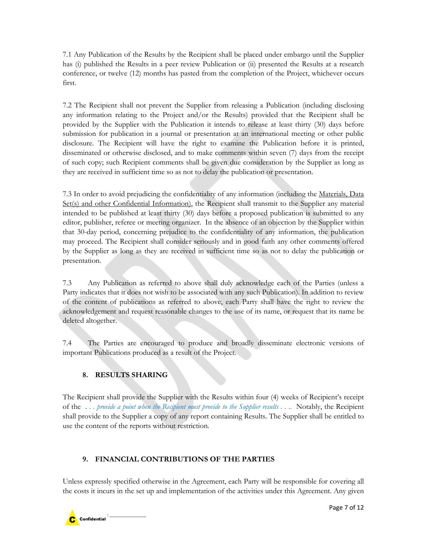7.1 Any Publication of the Results by the Recipient shall be placed under embargo until the Supplier has (i) published the Results in a peer review Publication or (ii) presented the Results at a research conference, or twelve (12) months has pasted from the completion of the Project, whichever occurs first.

7.2 The Recipient shall not prevent the Supplier from releasing a Publication (including disclosing any information relating to the Project and/or the Results) provided that the Recipient shall be provided by the Supplier with the Publication it intends to release at least thirty (30) days before submission for publication in a journal or presentation at an international meeting or other public disclosure. The Recipient will have the right to examine the Publication before it is printed, disseminated or otherwise disclosed, and to make comments within seven (7) days from the receipt of such copy; such Recipient comments shall be given due consideration by the Supplier as long as they are received in sufficient time so as not to delay the publication or presentation.

7.3 In order to avoid prejudicing the confidentiality of any information (including the Materials, Data Set(s) and other Confidential Information), the Recipient shall transmit to the Supplier any material intended to be published at least thirty (30) days before a proposed publication is submitted to any editor, publisher, referee or meeting organizer. In the absence of an objection by the Supplier within that 30-day period, concerning prejudice to the confidentiality of any information, the publication may proceed. The Recipient shall consider seriously and in good faith any other comments offered by the Supplier as long as they are received in sufficient time so as not to delay the publication or presentation.

7.3 Any Publication as referred to above shall duly acknowledge each of the Parties (unless a Party indicates that it does not wish to be associated with any such Publication). In addition to review of the content of publications as referred to above, each Party shall have the right to review the acknowledgement and request reasonable changes to the use of its name, or request that its name be deleted altogether.

7.4 The Parties are encouraged to produce and broadly disseminate electronic versions of important Publications produced as a result of the Project.

## **8. RESULTS SHARING**

The Recipient shall provide the Supplier with the Results within four (4) weeks of Recipient's receipt of the . . . *provide a point when the Recipient must provide to the Supplier results . . .*. Notably, the Recipient shall provide to the Supplier a copy of any report containing Results. The Supplier shall be entitled to use the content of the reports without restriction.

## **9. FINANCIAL CONTRIBUTIONS OF THE PARTIES**

Unless expressly specified otherwise in the Agreement, each Party will be responsible for covering all the costs it incurs in the set up and implementation of the activities under this Agreement. Any given

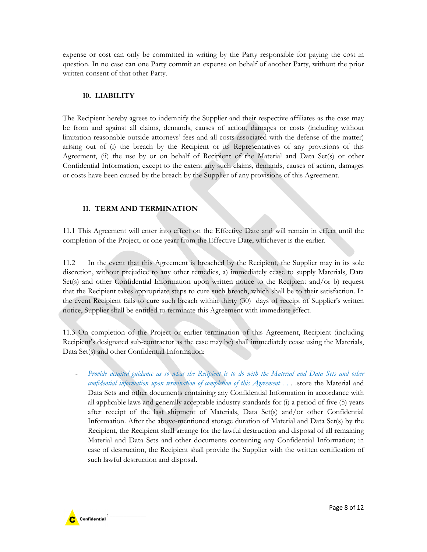expense or cost can only be committed in writing by the Party responsible for paying the cost in question. In no case can one Party commit an expense on behalf of another Party, without the prior written consent of that other Party.

#### **10. LIABILITY**

The Recipient hereby agrees to indemnify the Supplier and their respective affiliates as the case may be from and against all claims, demands, causes of action, damages or costs (including without limitation reasonable outside attorneys' fees and all costs associated with the defense of the matter) arising out of (i) the breach by the Recipient or its Representatives of any provisions of this Agreement, (ii) the use by or on behalf of Recipient of the Material and Data Set(s) or other Confidential Information, except to the extent any such claims, demands, causes of action, damages or costs have been caused by the breach by the Supplier of any provisions of this Agreement.

### **11. TERM AND TERMINATION**

11.1 This Agreement will enter into effect on the Effective Date and will remain in effect until the completion of the Project, or one yearr from the Effective Date, whichever is the earlier.

11.2 In the event that this Agreement is breached by the Recipient, the Supplier may in its sole discretion, without prejudice to any other remedies, a) immediately cease to supply Materials, Data Set(s) and other Confidential Information upon written notice to the Recipient and/or b) request that the Recipient takes appropriate steps to cure such breach, which shall be to their satisfaction. In the event Recipient fails to cure such breach within thirty (30) days of receipt of Supplier's written notice, Supplier shall be entitled to terminate this Agreement with immediate effect.

11.3 On completion of the Project or earlier termination of this Agreement, Recipient (including Recipient's designated sub-contractor as the case may be) shall immediately cease using the Materials, Data Set(s) and other Confidential Information:

Provide detailed guidance as to what the Recipient is to do with the Material and Data Sets and other *confidential information upon termination of completion of this Agreement . . . .*store the Material and Data Sets and other documents containing any Confidential Information in accordance with all applicable laws and generally acceptable industry standards for (i) a period of five (5) years after receipt of the last shipment of Materials, Data Set(s) and/or other Confidential Information. After the above-mentioned storage duration of Material and Data Set(s) by the Recipient, the Recipient shall arrange for the lawful destruction and disposal of all remaining Material and Data Sets and other documents containing any Confidential Information; in case of destruction, the Recipient shall provide the Supplier with the written certification of such lawful destruction and disposal.

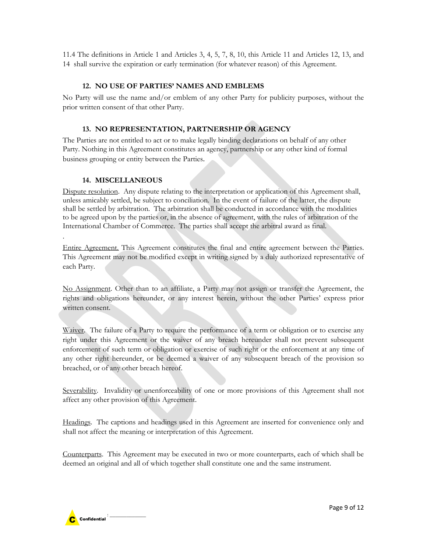11.4 The definitions in Article 1 and Articles 3, 4, 5, 7, 8, 10, this Article 11 and Articles 12, 13, and 14 shall survive the expiration or early termination (for whatever reason) of this Agreement.

#### **12. NO USE OF PARTIES' NAMES AND EMBLEMS**

No Party will use the name and/or emblem of any other Party for publicity purposes, without the prior written consent of that other Party.

### **13. NO REPRESENTATION, PARTNERSHIP OR AGENCY**

The Parties are not entitled to act or to make legally binding declarations on behalf of any other Party. Nothing in this Agreement constitutes an agency, partnership or any other kind of formal business grouping or entity between the Parties.

#### **14. MISCELLANEOUS**

.

Dispute resolution. Any dispute relating to the interpretation or application of this Agreement shall, unless amicably settled, be subject to conciliation. In the event of failure of the latter, the dispute shall be settled by arbitration. The arbitration shall be conducted in accordance with the modalities to be agreed upon by the parties or, in the absence of agreement, with the rules of arbitration of the International Chamber of Commerce. The parties shall accept the arbitral award as final.

Entire Agreement. This Agreement constitutes the final and entire agreement between the Parties. This Agreement may not be modified except in writing signed by a duly authorized representative of each Party.

No Assignment. Other than to an affiliate, a Party may not assign or transfer the Agreement, the rights and obligations hereunder, or any interest herein, without the other Parties' express prior written consent.

Waiver. The failure of a Party to require the performance of a term or obligation or to exercise any right under this Agreement or the waiver of any breach hereunder shall not prevent subsequent enforcement of such term or obligation or exercise of such right or the enforcement at any time of any other right hereunder, or be deemed a waiver of any subsequent breach of the provision so breached, or of any other breach hereof.

Severability. Invalidity or unenforceability of one or more provisions of this Agreement shall not affect any other provision of this Agreement.

Headings. The captions and headings used in this Agreement are inserted for convenience only and shall not affect the meaning or interpretation of this Agreement.

Counterparts. This Agreement may be executed in two or more counterparts, each of which shall be deemed an original and all of which together shall constitute one and the same instrument.

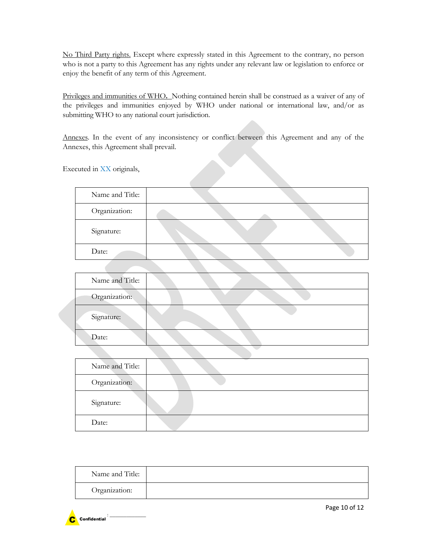No Third Party rights. Except where expressly stated in this Agreement to the contrary, no person who is not a party to this Agreement has any rights under any relevant law or legislation to enforce or enjoy the benefit of any term of this Agreement.

Privileges and immunities of WHO**.** Nothing contained herein shall be construed as a waiver of any of the privileges and immunities enjoyed by WHO under national or international law, and/or as submitting WHO to any national court jurisdiction.

Annexes. In the event of any inconsistency or conflict between this Agreement and any of the Annexes, this Agreement shall prevail.

Executed in XX originals,

| Name and Title: |  |  |
|-----------------|--|--|
| Organization:   |  |  |
| Signature:      |  |  |
| Date:           |  |  |

| Name and Title: |  |
|-----------------|--|
| Organization:   |  |
| Signature:      |  |
| Date:           |  |

| Name and Title: | $\sim$ |
|-----------------|--------|
| Organization:   |        |
| Signature:      |        |
| Date:           |        |

| Name and Title: |  |
|-----------------|--|
| Organization:   |  |

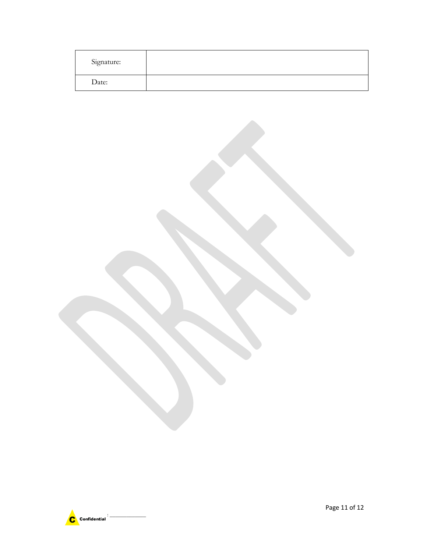| Signature: |  |
|------------|--|
| Date:      |  |